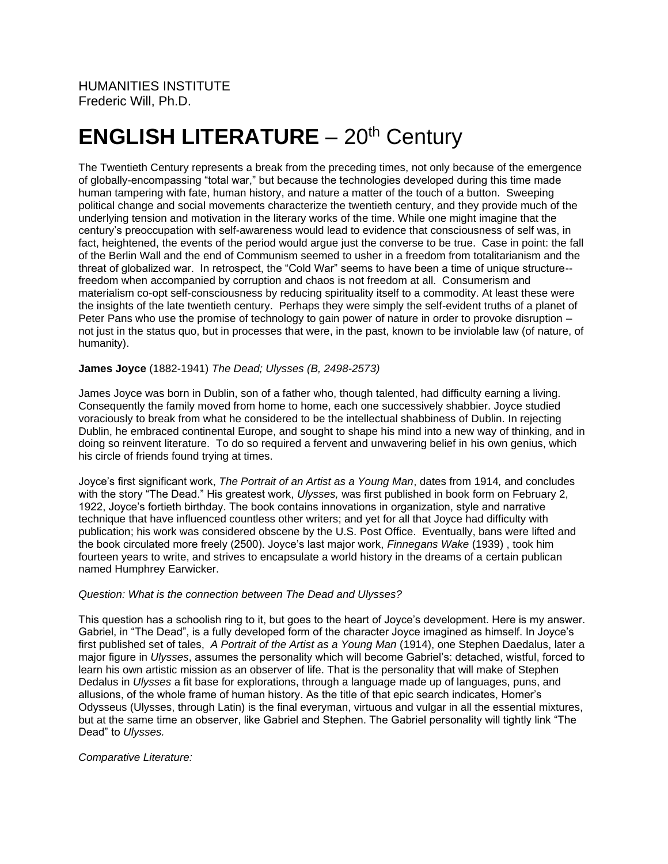# **ENGLISH LITERATURE** - 20<sup>th</sup> Century

The Twentieth Century represents a break from the preceding times, not only because of the emergence of globally-encompassing "total war," but because the technologies developed during this time made human tampering with fate, human history, and nature a matter of the touch of a button. Sweeping political change and social movements characterize the twentieth century, and they provide much of the underlying tension and motivation in the literary works of the time. While one might imagine that the century's preoccupation with self-awareness would lead to evidence that consciousness of self was, in fact, heightened, the events of the period would argue just the converse to be true. Case in point: the fall of the Berlin Wall and the end of Communism seemed to usher in a freedom from totalitarianism and the threat of globalized war. In retrospect, the "Cold War" seems to have been a time of unique structure- freedom when accompanied by corruption and chaos is not freedom at all. Consumerism and materialism co-opt self-consciousness by reducing spirituality itself to a commodity. At least these were the insights of the late twentieth century. Perhaps they were simply the self-evident truths of a planet of Peter Pans who use the promise of technology to gain power of nature in order to provoke disruption – not just in the status quo, but in processes that were, in the past, known to be inviolable law (of nature, of humanity).

# **James Joyce** (1882-1941) *The Dead; Ulysses (B, 2498-2573)*

James Joyce was born in Dublin, son of a father who, though talented, had difficulty earning a living. Consequently the family moved from home to home, each one successively shabbier. Joyce studied voraciously to break from what he considered to be the intellectual shabbiness of Dublin. In rejecting Dublin, he embraced continental Europe, and sought to shape his mind into a new way of thinking, and in doing so reinvent literature. To do so required a fervent and unwavering belief in his own genius, which his circle of friends found trying at times.

Joyce's first significant work, *The Portrait of an Artist as a Young Man*, dates from 1914*,* and concludes with the story "The Dead." His greatest work, *Ulysses,* was first published in book form on February 2, 1922, Joyce's fortieth birthday. The book contains innovations in organization, style and narrative technique that have influenced countless other writers; and yet for all that Joyce had difficulty with publication; his work was considered obscene by the U.S. Post Office. Eventually, bans were lifted and the book circulated more freely (2500). Joyce's last major work, *Finnegans Wake* (1939) , took him fourteen years to write, and strives to encapsulate a world history in the dreams of a certain publican named Humphrey Earwicker.

## *Question: What is the connection between The Dead and Ulysses?*

This question has a schoolish ring to it, but goes to the heart of Joyce's development. Here is my answer. Gabriel, in "The Dead", is a fully developed form of the character Joyce imagined as himself. In Joyce's first published set of tales, *A Portrait of the Artist as a Young Man* (1914), one Stephen Daedalus, later a major figure in *Ulysses*, assumes the personality which will become Gabriel's: detached, wistful, forced to learn his own artistic mission as an observer of life. That is the personality that will make of Stephen Dedalus in *Ulysses* a fit base for explorations, through a language made up of languages, puns, and allusions, of the whole frame of human history. As the title of that epic search indicates, Homer's Odysseus (Ulysses, through Latin) is the final everyman, virtuous and vulgar in all the essential mixtures, but at the same time an observer, like Gabriel and Stephen. The Gabriel personality will tightly link "The Dead" to *Ulysses.*

#### *Comparative Literature:*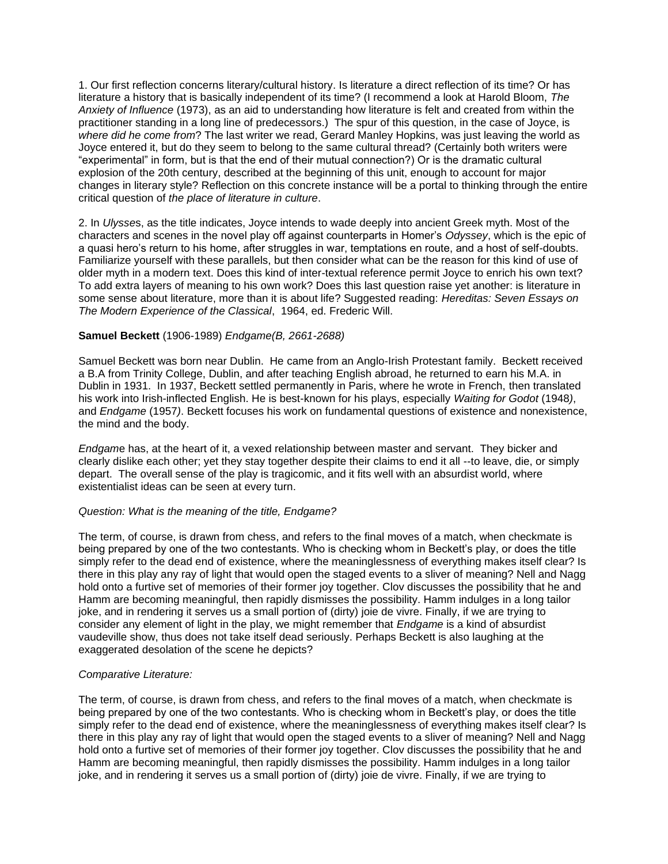1. Our first reflection concerns literary/cultural history. Is literature a direct reflection of its time? Or has literature a history that is basically independent of its time? (I recommend a look at Harold Bloom, *The Anxiety of Influence* (1973), as an aid to understanding how literature is felt and created from within the practitioner standing in a long line of predecessors.) The spur of this question, in the case of Joyce, is *where did he come from*? The last writer we read, Gerard Manley Hopkins, was just leaving the world as Joyce entered it, but do they seem to belong to the same cultural thread? (Certainly both writers were "experimental" in form, but is that the end of their mutual connection?) Or is the dramatic cultural explosion of the 20th century, described at the beginning of this unit, enough to account for major changes in literary style? Reflection on this concrete instance will be a portal to thinking through the entire critical question of *the place of literature in culture*.

2. In *Ulysse*s, as the title indicates, Joyce intends to wade deeply into ancient Greek myth. Most of the characters and scenes in the novel play off against counterparts in Homer's *Odyssey*, which is the epic of a quasi hero's return to his home, after struggles in war, temptations en route, and a host of self-doubts. Familiarize yourself with these parallels, but then consider what can be the reason for this kind of use of older myth in a modern text. Does this kind of inter-textual reference permit Joyce to enrich his own text? To add extra layers of meaning to his own work? Does this last question raise yet another: is literature in some sense about literature, more than it is about life? Suggested reading: *Hereditas: Seven Essays on The Modern Experience of the Classical*, 1964, ed. Frederic Will.

#### **Samuel Beckett** (1906-1989) *Endgame(B, 2661-2688)*

Samuel Beckett was born near Dublin. He came from an Anglo-Irish Protestant family. Beckett received a B.A from Trinity College, Dublin, and after teaching English abroad, he returned to earn his M.A. in Dublin in 1931. In 1937, Beckett settled permanently in Paris, where he wrote in French, then translated his work into Irish-inflected English. He is best-known for his plays, especially *Waiting for Godot* (1948*)*, and *Endgame* (1957*)*. Beckett focuses his work on fundamental questions of existence and nonexistence, the mind and the body.

*Endgam*e has, at the heart of it, a vexed relationship between master and servant. They bicker and clearly dislike each other; yet they stay together despite their claims to end it all --to leave, die, or simply depart. The overall sense of the play is tragicomic, and it fits well with an absurdist world, where existentialist ideas can be seen at every turn.

#### *Question: What is the meaning of the title, Endgame?*

The term, of course, is drawn from chess, and refers to the final moves of a match, when checkmate is being prepared by one of the two contestants. Who is checking whom in Beckett's play, or does the title simply refer to the dead end of existence, where the meaninglessness of everything makes itself clear? Is there in this play any ray of light that would open the staged events to a sliver of meaning? Nell and Nagg hold onto a furtive set of memories of their former joy together. Clov discusses the possibility that he and Hamm are becoming meaningful, then rapidly dismisses the possibility. Hamm indulges in a long tailor joke, and in rendering it serves us a small portion of (dirty) joie de vivre. Finally, if we are trying to consider any element of light in the play, we might remember that *Endgame* is a kind of absurdist vaudeville show, thus does not take itself dead seriously. Perhaps Beckett is also laughing at the exaggerated desolation of the scene he depicts?

#### *Comparative Literature:*

The term, of course, is drawn from chess, and refers to the final moves of a match, when checkmate is being prepared by one of the two contestants. Who is checking whom in Beckett's play, or does the title simply refer to the dead end of existence, where the meaninglessness of everything makes itself clear? Is there in this play any ray of light that would open the staged events to a sliver of meaning? Nell and Nagg hold onto a furtive set of memories of their former joy together. Clov discusses the possibility that he and Hamm are becoming meaningful, then rapidly dismisses the possibility. Hamm indulges in a long tailor joke, and in rendering it serves us a small portion of (dirty) joie de vivre. Finally, if we are trying to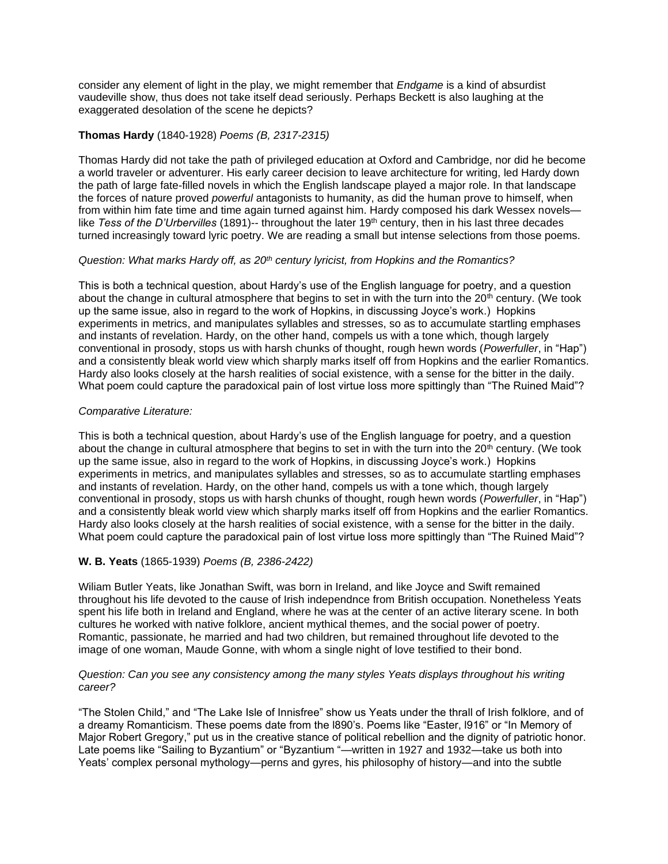consider any element of light in the play, we might remember that *Endgame* is a kind of absurdist vaudeville show, thus does not take itself dead seriously. Perhaps Beckett is also laughing at the exaggerated desolation of the scene he depicts?

## **Thomas Hardy** (1840-1928) *Poems (B, 2317-2315)*

Thomas Hardy did not take the path of privileged education at Oxford and Cambridge, nor did he become a world traveler or adventurer. His early career decision to leave architecture for writing, led Hardy down the path of large fate-filled novels in which the English landscape played a major role. In that landscape the forces of nature proved *powerful* antagonists to humanity, as did the human prove to himself, when from within him fate time and time again turned against him. Hardy composed his dark Wessex novelslike *Tess of the D'Urbervilles* (1891)-- throughout the later 19th century, then in his last three decades turned increasingly toward lyric poetry. We are reading a small but intense selections from those poems.

#### *Question: What marks Hardy off, as 20th century lyricist, from Hopkins and the Romantics?*

This is both a technical question, about Hardy's use of the English language for poetry, and a question about the change in cultural atmosphere that begins to set in with the turn into the 20<sup>th</sup> century. (We took up the same issue, also in regard to the work of Hopkins, in discussing Joyce's work.) Hopkins experiments in metrics, and manipulates syllables and stresses, so as to accumulate startling emphases and instants of revelation. Hardy, on the other hand, compels us with a tone which, though largely conventional in prosody, stops us with harsh chunks of thought, rough hewn words (*Powerfuller*, in "Hap") and a consistently bleak world view which sharply marks itself off from Hopkins and the earlier Romantics. Hardy also looks closely at the harsh realities of social existence, with a sense for the bitter in the daily. What poem could capture the paradoxical pain of lost virtue loss more spittingly than "The Ruined Maid"?

# *Comparative Literature:*

This is both a technical question, about Hardy's use of the English language for poetry, and a question about the change in cultural atmosphere that begins to set in with the turn into the 20<sup>th</sup> century. (We took up the same issue, also in regard to the work of Hopkins, in discussing Joyce's work.) Hopkins experiments in metrics, and manipulates syllables and stresses, so as to accumulate startling emphases and instants of revelation. Hardy, on the other hand, compels us with a tone which, though largely conventional in prosody, stops us with harsh chunks of thought, rough hewn words (*Powerfuller*, in "Hap") and a consistently bleak world view which sharply marks itself off from Hopkins and the earlier Romantics. Hardy also looks closely at the harsh realities of social existence, with a sense for the bitter in the daily. What poem could capture the paradoxical pain of lost virtue loss more spittingly than "The Ruined Maid"?

# **W. B. Yeats** (1865-1939) *Poems (B, 2386-2422)*

Wiliam Butler Yeats, like Jonathan Swift, was born in Ireland, and like Joyce and Swift remained throughout his life devoted to the cause of Irish independnce from British occupation. Nonetheless Yeats spent his life both in Ireland and England, where he was at the center of an active literary scene. In both cultures he worked with native folklore, ancient mythical themes, and the social power of poetry. Romantic, passionate, he married and had two children, but remained throughout life devoted to the image of one woman, Maude Gonne, with whom a single night of love testified to their bond.

#### *Question: Can you see any consistency among the many styles Yeats displays throughout his writing career?*

"The Stolen Child," and "The Lake Isle of Innisfree" show us Yeats under the thrall of Irish folklore, and of a dreamy Romanticism. These poems date from the l890's. Poems like "Easter, l916" or "In Memory of Major Robert Gregory," put us in the creative stance of political rebellion and the dignity of patriotic honor. Late poems like "Sailing to Byzantium" or "Byzantium "—written in 1927 and 1932—take us both into Yeats' complex personal mythology—perns and gyres, his philosophy of history—and into the subtle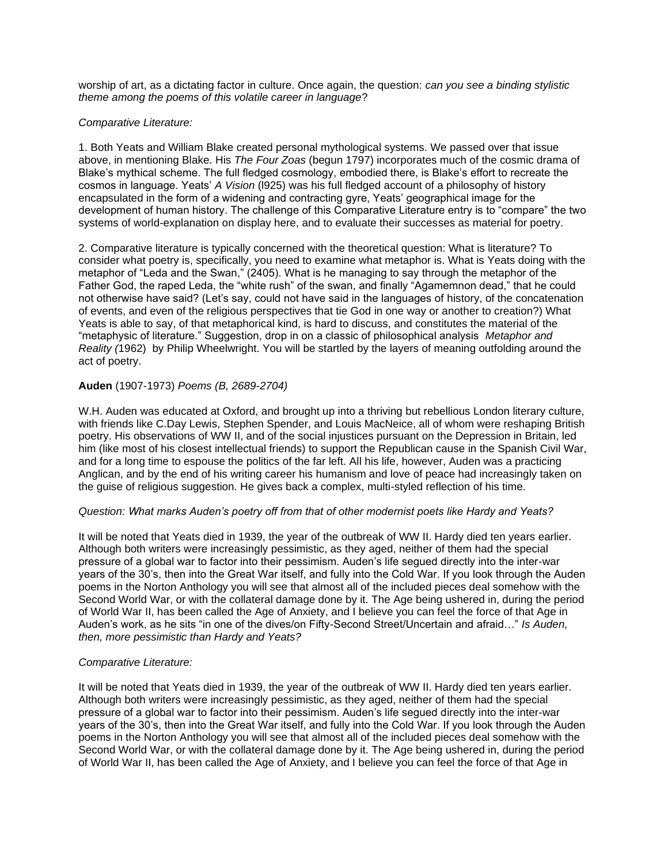worship of art, as a dictating factor in culture. Once again, the question: *can you see a binding stylistic theme among the poems of this volatile career in language*?

#### *Comparative Literature:*

1. Both Yeats and William Blake created personal mythological systems. We passed over that issue above, in mentioning Blake. His *The Four Zoas* (begun 1797) incorporates much of the cosmic drama of Blake's mythical scheme. The full fledged cosmology, embodied there, is Blake's effort to recreate the cosmos in language. Yeats' *A Vision* (l925) was his full fledged account of a philosophy of history encapsulated in the form of a widening and contracting gyre, Yeats' geographical image for the development of human history. The challenge of this Comparative Literature entry is to "compare" the two systems of world-explanation on display here, and to evaluate their successes as material for poetry.

2. Comparative literature is typically concerned with the theoretical question: What is literature? To consider what poetry is, specifically, you need to examine what metaphor is. What is Yeats doing with the metaphor of "Leda and the Swan," (2405). What is he managing to say through the metaphor of the Father God, the raped Leda, the "white rush" of the swan, and finally "Agamemnon dead," that he could not otherwise have said? (Let's say, could not have said in the languages of history, of the concatenation of events, and even of the religious perspectives that tie God in one way or another to creation?) What Yeats is able to say, of that metaphorical kind, is hard to discuss, and constitutes the material of the "metaphysic of literature." Suggestion, drop in on a classic of philosophical analysis *Metaphor and Reality (*1962) by Philip Wheelwright. You will be startled by the layers of meaning outfolding around the act of poetry.

#### **Auden** (1907-1973) *Poems (B, 2689-2704)*

W.H. Auden was educated at Oxford, and brought up into a thriving but rebellious London literary culture, with friends like C.Day Lewis, Stephen Spender, and Louis MacNeice, all of whom were reshaping British poetry. His observations of WW II, and of the social injustices pursuant on the Depression in Britain, led him (like most of his closest intellectual friends) to support the Republican cause in the Spanish Civil War, and for a long time to espouse the politics of the far left. All his life, however, Auden was a practicing Anglican, and by the end of his writing career his humanism and love of peace had increasingly taken on the guise of religious suggestion. He gives back a complex, multi-styled reflection of his time.

#### *Question: What marks Auden's poetry off from that of other modernist poets like Hardy and Yeats?*

It will be noted that Yeats died in 1939, the year of the outbreak of WW II. Hardy died ten years earlier. Although both writers were increasingly pessimistic, as they aged, neither of them had the special pressure of a global war to factor into their pessimism. Auden's life segued directly into the inter-war years of the 30's, then into the Great War itself, and fully into the Cold War. If you look through the Auden poems in the Norton Anthology you will see that almost all of the included pieces deal somehow with the Second World War, or with the collateral damage done by it. The Age being ushered in, during the period of World War II, has been called the Age of Anxiety, and I believe you can feel the force of that Age in Auden's work, as he sits "in one of the dives/on Fifty-Second Street/Uncertain and afraid…" *Is Auden, then, more pessimistic than Hardy and Yeats?*

#### *Comparative Literature:*

It will be noted that Yeats died in 1939, the year of the outbreak of WW II. Hardy died ten years earlier. Although both writers were increasingly pessimistic, as they aged, neither of them had the special pressure of a global war to factor into their pessimism. Auden's life segued directly into the inter-war years of the 30's, then into the Great War itself, and fully into the Cold War. If you look through the Auden poems in the Norton Anthology you will see that almost all of the included pieces deal somehow with the Second World War, or with the collateral damage done by it. The Age being ushered in, during the period of World War II, has been called the Age of Anxiety, and I believe you can feel the force of that Age in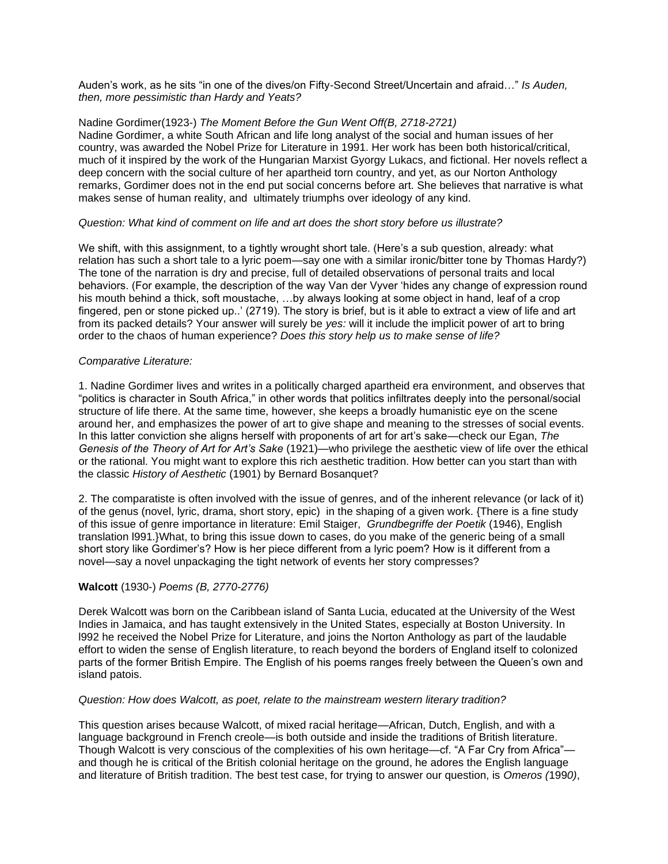Auden's work, as he sits "in one of the dives/on Fifty-Second Street/Uncertain and afraid…" *Is Auden, then, more pessimistic than Hardy and Yeats?*

## Nadine Gordimer(1923-) *The Moment Before the Gun Went Off(B, 2718-2721)*

Nadine Gordimer, a white South African and life long analyst of the social and human issues of her country, was awarded the Nobel Prize for Literature in 1991. Her work has been both historical/critical, much of it inspired by the work of the Hungarian Marxist Gyorgy Lukacs, and fictional. Her novels reflect a deep concern with the social culture of her apartheid torn country, and yet, as our Norton Anthology remarks, Gordimer does not in the end put social concerns before art. She believes that narrative is what makes sense of human reality, and ultimately triumphs over ideology of any kind.

#### *Question: What kind of comment on life and art does the short story before us illustrate?*

We shift, with this assignment, to a tightly wrought short tale. (Here's a sub question, already: what relation has such a short tale to a lyric poem—say one with a similar ironic/bitter tone by Thomas Hardy?) The tone of the narration is dry and precise, full of detailed observations of personal traits and local behaviors. (For example, the description of the way Van der Vyver 'hides any change of expression round his mouth behind a thick, soft moustache, ...by always looking at some object in hand, leaf of a crop fingered, pen or stone picked up..' (2719). The story is brief, but is it able to extract a view of life and art from its packed details? Your answer will surely be *yes:* will it include the implicit power of art to bring order to the chaos of human experience? *Does this story help us to make sense of life?*

# *Comparative Literature:*

1. Nadine Gordimer lives and writes in a politically charged apartheid era environment, and observes that "politics is character in South Africa," in other words that politics infiltrates deeply into the personal/social structure of life there. At the same time, however, she keeps a broadly humanistic eye on the scene around her, and emphasizes the power of art to give shape and meaning to the stresses of social events. In this latter conviction she aligns herself with proponents of art for art's sake—check our Egan, *The Genesis of the Theory of Art for Art's Sake* (1921)—who privilege the aesthetic view of life over the ethical or the rational. You might want to explore this rich aesthetic tradition. How better can you start than with the classic *History of Aesthetic* (1901) by Bernard Bosanquet?

2. The comparatiste is often involved with the issue of genres, and of the inherent relevance (or lack of it) of the genus (novel, lyric, drama, short story, epic) in the shaping of a given work. {There is a fine study of this issue of genre importance in literature: Emil Staiger, *Grundbegriffe der Poetik* (1946), English translation l991.}What, to bring this issue down to cases, do you make of the generic being of a small short story like Gordimer's? How is her piece different from a lyric poem? How is it different from a novel—say a novel unpackaging the tight network of events her story compresses?

# **Walcott** (1930-) *Poems (B, 2770-2776)*

Derek Walcott was born on the Caribbean island of Santa Lucia, educated at the University of the West Indies in Jamaica, and has taught extensively in the United States, especially at Boston University. In l992 he received the Nobel Prize for Literature, and joins the Norton Anthology as part of the laudable effort to widen the sense of English literature, to reach beyond the borders of England itself to colonized parts of the former British Empire. The English of his poems ranges freely between the Queen's own and island patois.

#### *Question: How does Walcott, as poet, relate to the mainstream western literary tradition?*

This question arises because Walcott, of mixed racial heritage—African, Dutch, English, and with a language background in French creole—is both outside and inside the traditions of British literature. Though Walcott is very conscious of the complexities of his own heritage—cf. "A Far Cry from Africa"and though he is critical of the British colonial heritage on the ground, he adores the English language and literature of British tradition. The best test case, for trying to answer our question, is *Omeros (*199*0)*,